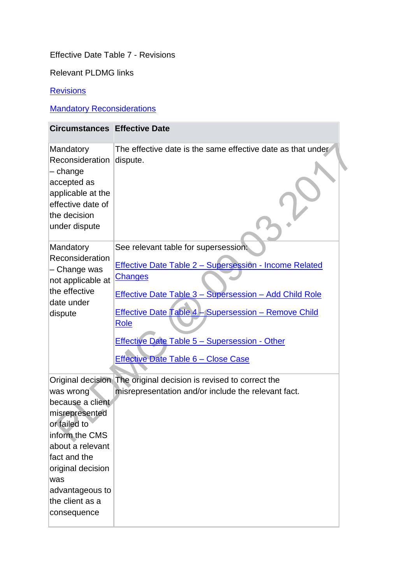## Effective Date Table 7 - Revisions

Relevant PLDMG links

## **[Revisions](http://np-cmg-sharepoint.link2.gpn.gov.uk/sites/policy-law-and-decision-making-guidance/Pages/Revisions/Revisions.aspx)**

## **Mandatory Reconsiderations**

| <b>Circumstances Effective Date</b>                                                                                                                                                                    |                                                                                                                                                                                                                                                                                                                                                                |
|--------------------------------------------------------------------------------------------------------------------------------------------------------------------------------------------------------|----------------------------------------------------------------------------------------------------------------------------------------------------------------------------------------------------------------------------------------------------------------------------------------------------------------------------------------------------------------|
| Mandatory<br>Reconsideration<br>$-$ change<br>accepted as<br>applicable at the<br>effective date of<br>the decision<br>under dispute                                                                   | The effective date is the same effective date as that under<br>dispute.                                                                                                                                                                                                                                                                                        |
| Mandatory<br>Reconsideration<br>- Change was<br>not applicable at<br>the effective<br>date under<br>dispute                                                                                            | See relevant table for supersession:<br>Effective Date Table 2 - Supersession - Income Related<br><b>Changes</b><br><b>Effective Date Table 3 - Supersession - Add Child Role</b><br>Effective Date Table 4 - Supersession - Remove Child<br><b>Role</b><br><b>Effective Date Table 5 - Supersession - Other</b><br><b>Effective Date Table 6 - Close Case</b> |
| was wrong<br>because a client<br>misrepresented<br>or failed to<br>inform the CMS<br>about a relevant<br>fact and the<br>original decision<br>was<br>advantageous to<br>the client as a<br>consequence | Original decision The original decision is revised to correct the<br>misrepresentation and/or include the relevant fact.                                                                                                                                                                                                                                       |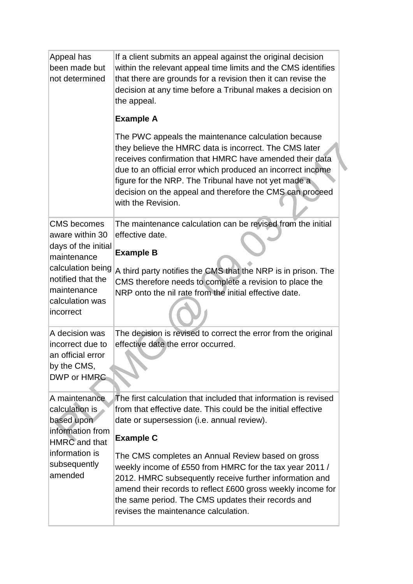| Appeal has<br>been made but<br>not determined                                                        | If a client submits an appeal against the original decision<br>within the relevant appeal time limits and the CMS identifies<br>that there are grounds for a revision then it can revise the<br>decision at any time before a Tribunal makes a decision on<br>the appeal.                                                                                                         |
|------------------------------------------------------------------------------------------------------|-----------------------------------------------------------------------------------------------------------------------------------------------------------------------------------------------------------------------------------------------------------------------------------------------------------------------------------------------------------------------------------|
|                                                                                                      | <b>Example A</b>                                                                                                                                                                                                                                                                                                                                                                  |
|                                                                                                      | The PWC appeals the maintenance calculation because<br>they believe the HMRC data is incorrect. The CMS later<br>receives confirmation that HMRC have amended their data<br>due to an official error which produced an incorrect income<br>figure for the NRP. The Tribunal have not yet made a<br>decision on the appeal and therefore the CMS can proceed<br>with the Revision. |
| <b>CMS</b> becomes<br>aware within 30<br>days of the initial                                         | The maintenance calculation can be revised from the initial<br>effective date.<br><b>Example B</b>                                                                                                                                                                                                                                                                                |
| maintenance<br>calculation being<br>notified that the<br>maintenance<br>calculation was<br>incorrect | A third party notifies the CMS that the NRP is in prison. The<br>CMS therefore needs to complete a revision to place the<br>NRP onto the nil rate from the initial effective date.                                                                                                                                                                                                |
| A decision was<br>incorrect due to<br>an official error<br>by the CMS,<br>DWP or HMRC                | The decision is revised to correct the error from the original<br>effective date the error occurred.                                                                                                                                                                                                                                                                              |
| A maintenance<br>calculation is<br>based upon<br>information from<br>HMRC and that                   | The first calculation that included that information is revised<br>from that effective date. This could be the initial effective<br>date or supersession (i.e. annual review).<br><b>Example C</b>                                                                                                                                                                                |
| information is<br>subsequently<br>amended                                                            | The CMS completes an Annual Review based on gross<br>weekly income of £550 from HMRC for the tax year 2011 /<br>2012. HMRC subsequently receive further information and<br>amend their records to reflect £600 gross weekly income for<br>the same period. The CMS updates their records and<br>revises the maintenance calculation.                                              |